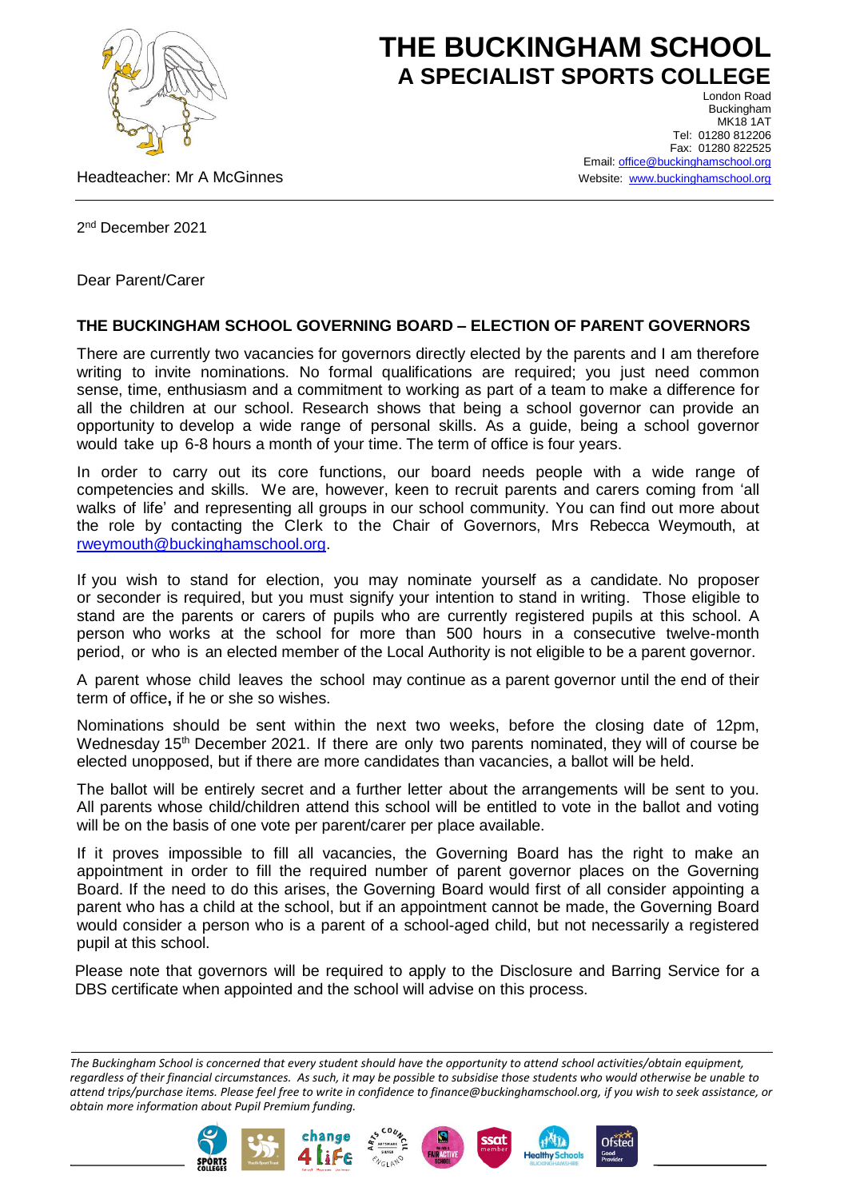

## **THE BUCKINGHAM SCHOOL A SPECIALIST SPORTS COLLEGE** London Road

Headteacher: Mr A McGinnes

Buckingham **MK18 1AT** Tel: 01280 812206 Fax: 01280 822525 Email[: office@buckinghamschool.org](mailto:office@buckinghamschool.org) Website: [www.buckinghamschool.org](http://www.buckinghamschool.org/)

2<sup>nd</sup> December 2021

Dear Parent/Carer

## **THE BUCKINGHAM SCHOOL GOVERNING BOARD – ELECTION OF PARENT GOVERNORS**

There are currently two vacancies for governors directly elected by the parents and I am therefore writing to invite nominations. No formal qualifications are required; you just need common sense, time, enthusiasm and a commitment to working as part of a team to make a difference for all the children at our school. Research shows that being a school governor can provide an opportunity to develop a wide range of personal skills. As a guide, being a school governor would take up 6-8 hours a month of your time. The term of office is four years.

In order to carry out its core functions, our board needs people with a wide range of competencies and skills. We are, however, keen to recruit parents and carers coming from 'all walks of life' and representing all groups in our school community. You can find out more about the role by contacting the Clerk to the Chair of Governors, Mrs Rebecca Weymouth, at [rweymouth@buckinghamschool.org.](mailto:rweymouth@buckinghamschool.org)

If you wish to stand for election, you may nominate yourself as a candidate. No proposer or seconder is required, but you must signify your intention to stand in writing. Those eligible to stand are the parents or carers of pupils who are currently registered pupils at this school. A person who works at the school for more than 500 hours in a consecutive twelve-month period, or who is an elected member of the Local Authority is not eligible to be a parent governor.

A parent whose child leaves the school may continue as a parent governor until the end of their term of office**,** if he or she so wishes.

Nominations should be sent within the next two weeks, before the closing date of 12pm, Wednesday 15<sup>th</sup> December 2021. If there are only two parents nominated, they will of course be elected unopposed, but if there are more candidates than vacancies, a ballot will be held.

The ballot will be entirely secret and a further letter about the arrangements will be sent to you. All parents whose child/children attend this school will be entitled to vote in the ballot and voting will be on the basis of one vote per parent/carer per place available.

If it proves impossible to fill all vacancies, the Governing Board has the right to make an appointment in order to fill the required number of parent governor places on the Governing Board. If the need to do this arises, the Governing Board would first of all consider appointing a parent who has a child at the school, but if an appointment cannot be made, the Governing Board would consider a person who is a parent of a school-aged child, but not necessarily a registered pupil at this school.

Please note that governors will be required to apply to the Disclosure and Barring Service for a DBS certificate when appointed and the school will advise on this process.

*The Buckingham School is concerned that every student should have the opportunity to attend school activities/obtain equipment, regardless of their financial circumstances. As such, it may be possible to subsidise those students who would otherwise be unable to attend trips/purchase items. Please feel free to write in confidence to finance@buckinghamschool.org, if you wish to seek assistance, or obtain more information about Pupil Premium funding.*